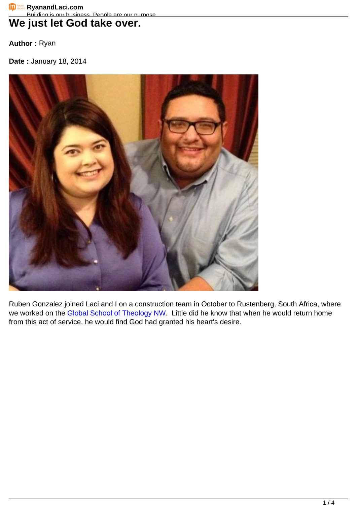## We just let God take over.

**Author :** Ryan

**Date :** January 18, 2014



Ruben Gonzalez joined Laci and I on a construction team in October to Rustenberg, South Africa, where we worked on the [Global School of Theology NW](http://projects.buildersintl.org/projects/project/24). Little did he know that when he would return home from this act of service, he would find God had granted his heart's desire.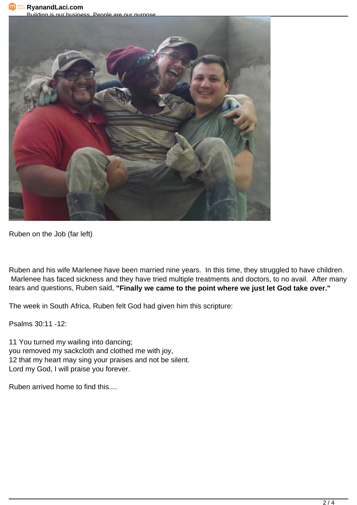**RyanandLaci.com** 

Building is our business. People are our purpose.



Ruben on the Job (far left)

Ruben and his wife Marlenee have been married nine years. In this time, they struggled to have children. Marlenee has faced sickness and they have tried multiple treatments and doctors, to no avail. After many tears and questions, Ruben said, **"Finally we came to the point where we just let God take over."**

The week in South Africa, Ruben felt God had given him this scripture:

Psalms 30:11 -12:

11 You turned my wailing into dancing; you removed my sackcloth and clothed me with joy, 12 that my heart may sing your praises and not be silent. Lord my God, I will praise you forever.

Ruben arrived home to find this....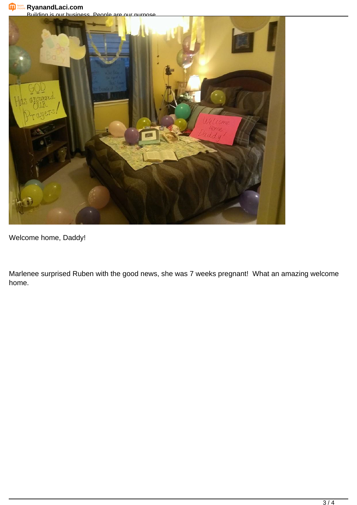**RyanandLaci.com**

Building is our business. People are our purpose.



Welcome home, Daddy!

Marlenee surprised Ruben with the good news, she was 7 weeks pregnant! What an amazing welcome home.